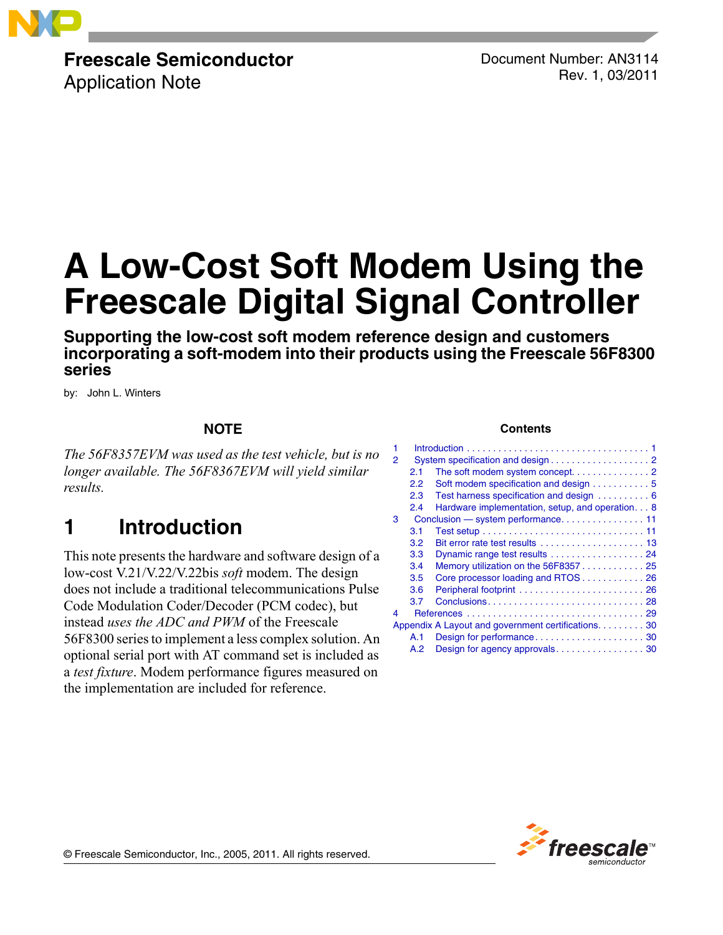

# **Freescale Semiconductor**

Application Note

Document Number: AN3114 Rev. 1, 03/2011

# **A Low-Cost Soft Modem Using the Freescale Digital Signal Controller**

**Supporting the low-cost soft modem reference design and customers incorporating a soft-modem into their products using the Freescale 56F8300 series**

by: John L. Winters

### **NOTE**

*The 56F8357EVM was used as the test vehicle, but is no longer available. The 56F8367EVM will yield similar results.*

## <span id="page-0-0"></span>**1 Introduction**

This note presents the hardware and software design of a low-cost V.21/V.22/V.22bis *soft* modem. The design does not include a traditional telecommunications Pulse Code Modulation Coder/Decoder (PCM codec), but instead *uses the ADC and PWM* of the Freescale 56F8300 series to implement a less complex solution. An optional serial port with AT command set is included as a *test fixture*. Modem performance figures measured on the implementation are included for reference.

#### **Contents**

| 1 |     |                                                     |
|---|-----|-----------------------------------------------------|
| 2 |     |                                                     |
|   | 2.1 |                                                     |
|   | 2.2 | Soft modem specification and design 5               |
|   | 2.3 | Test harness specification and design  6            |
|   | 2.4 | Hardware implementation, setup, and operation. 8    |
| 3 |     |                                                     |
|   | 3.1 |                                                     |
|   | 3.2 | Bit error rate test results  13                     |
|   | 3.3 |                                                     |
|   | 3.4 | Memory utilization on the 56F835725                 |
|   | 3.5 | Core processor loading and RTOS 26                  |
|   | 3.6 |                                                     |
|   | 3.7 |                                                     |
| 4 |     |                                                     |
|   |     | Appendix A Layout and government certifications. 30 |
|   | A.1 |                                                     |
|   | A.2 |                                                     |



© Freescale Semiconductor, Inc., 2005, 2011. All rights reserved.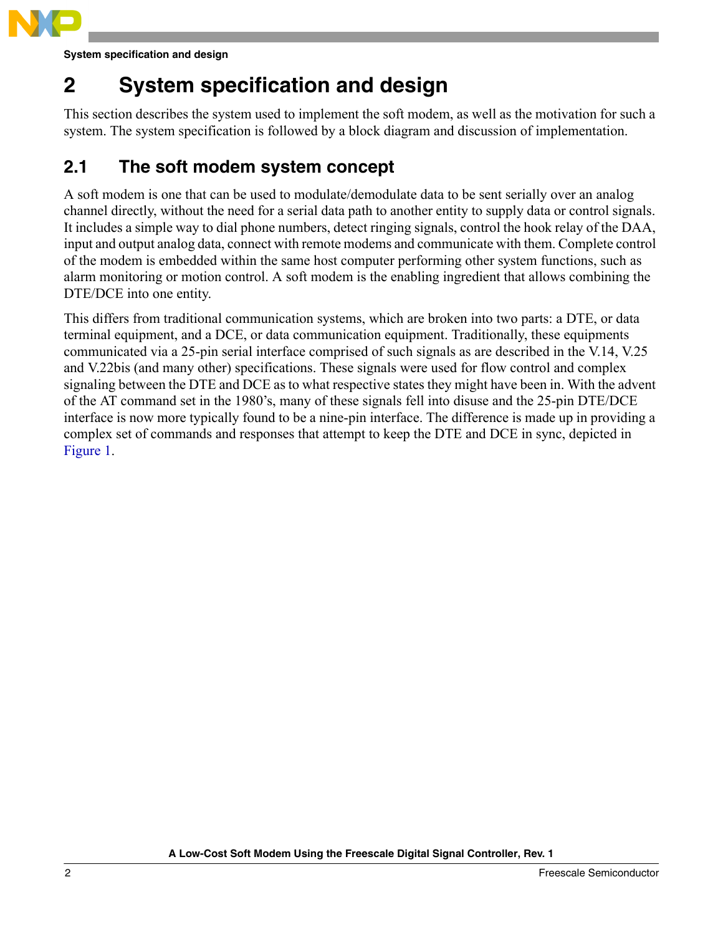

**System specification and design**

## <span id="page-1-0"></span>**2 System specification and design**

This section describes the system used to implement the soft modem, as well as the motivation for such a system. The system specification is followed by a block diagram and discussion of implementation.

## <span id="page-1-1"></span>**2.1 The soft modem system concept**

A soft modem is one that can be used to modulate/demodulate data to be sent serially over an analog channel directly, without the need for a serial data path to another entity to supply data or control signals. It includes a simple way to dial phone numbers, detect ringing signals, control the hook relay of the DAA, input and output analog data, connect with remote modems and communicate with them. Complete control of the modem is embedded within the same host computer performing other system functions, such as alarm monitoring or motion control. A soft modem is the enabling ingredient that allows combining the DTE/DCE into one entity.

This differs from traditional communication systems, which are broken into two parts: a DTE, or data terminal equipment, and a DCE, or data communication equipment. Traditionally, these equipments communicated via a 25-pin serial interface comprised of such signals as are described in the V.14, V.25 and V.22bis (and many other) specifications. These signals were used for flow control and complex signaling between the DTE and DCE as to what respective states they might have been in. With the advent of the AT command set in the 1980's, many of these signals fell into disuse and the 25-pin DTE/DCE interface is now more typically found to be a nine-pin interface. The difference is made up in providing a complex set of commands and responses that attempt to keep the DTE and DCE in sync, depicted in [Figure 1](#page-2-0).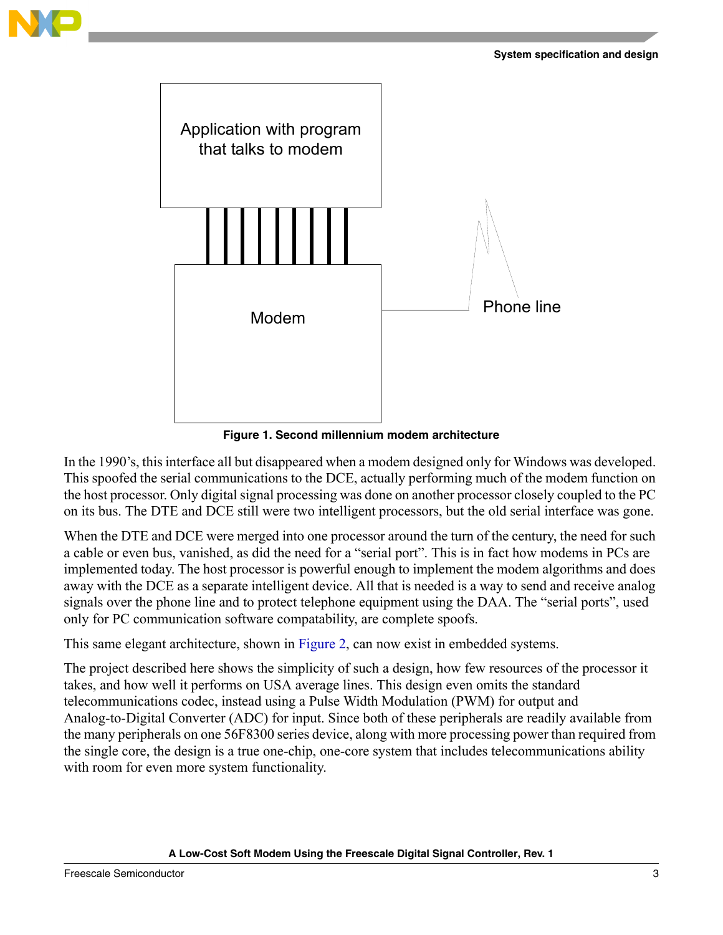



**Figure 1. Second millennium modem architecture**

<span id="page-2-0"></span>In the 1990's, this interface all but disappeared when a modem designed only for Windows was developed. This spoofed the serial communications to the DCE, actually performing much of the modem function on the host processor. Only digital signal processing was done on another processor closely coupled to the PC on its bus. The DTE and DCE still were two intelligent processors, but the old serial interface was gone.

When the DTE and DCE were merged into one processor around the turn of the century, the need for such a cable or even bus, vanished, as did the need for a "serial port". This is in fact how modems in PCs are implemented today. The host processor is powerful enough to implement the modem algorithms and does away with the DCE as a separate intelligent device. All that is needed is a way to send and receive analog signals over the phone line and to protect telephone equipment using the DAA. The "serial ports", used only for PC communication software compatability, are complete spoofs.

This same elegant architecture, shown in [Figure 2](#page-3-0), can now exist in embedded systems.

The project described here shows the simplicity of such a design, how few resources of the processor it takes, and how well it performs on USA average lines. This design even omits the standard telecommunications codec, instead using a Pulse Width Modulation (PWM) for output and Analog-to-Digital Converter (ADC) for input. Since both of these peripherals are readily available from the many peripherals on one 56F8300 series device, along with more processing power than required from the single core, the design is a true one-chip, one-core system that includes telecommunications ability with room for even more system functionality.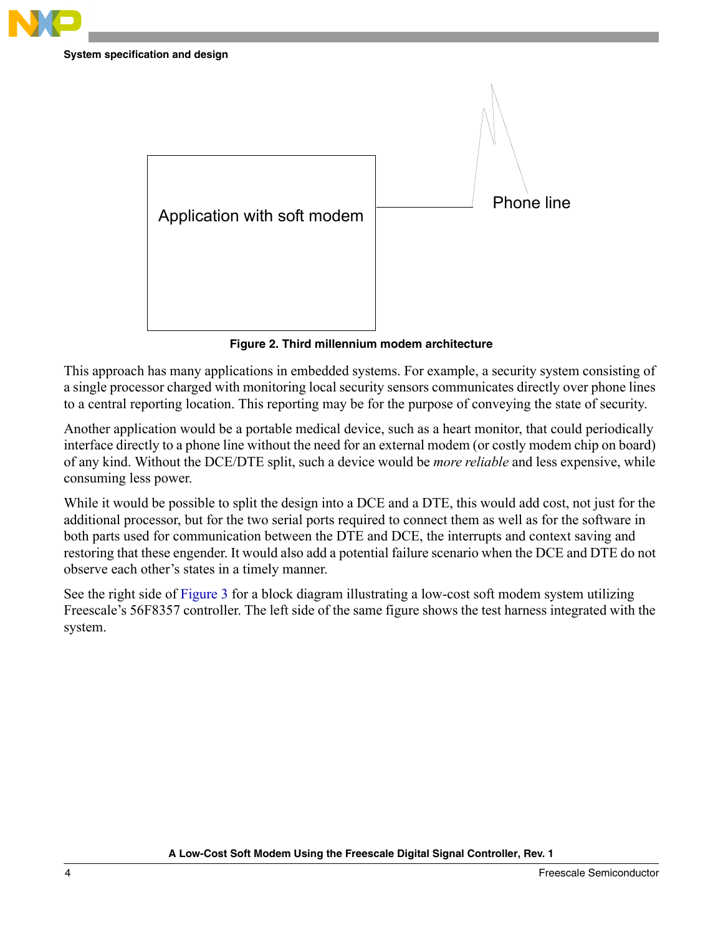

**System specification and design**



**Figure 2. Third millennium modem architecture**

<span id="page-3-0"></span>This approach has many applications in embedded systems. For example, a security system consisting of a single processor charged with monitoring local security sensors communicates directly over phone lines to a central reporting location. This reporting may be for the purpose of conveying the state of security.

Another application would be a portable medical device, such as a heart monitor, that could periodically interface directly to a phone line without the need for an external modem (or costly modem chip on board) of any kind. Without the DCE/DTE split, such a device would be *more reliable* and less expensive, while consuming less power.

While it would be possible to split the design into a DCE and a DTE, this would add cost, not just for the additional processor, but for the two serial ports required to connect them as well as for the software in both parts used for communication between the DTE and DCE, the interrupts and context saving and restoring that these engender. It would also add a potential failure scenario when the DCE and DTE do not observe each other's states in a timely manner.

See the right side of [Figure 3](#page-4-1) for a block diagram illustrating a low-cost soft modem system utilizing Freescale's 56F8357 controller. The left side of the same figure shows the test harness integrated with the system.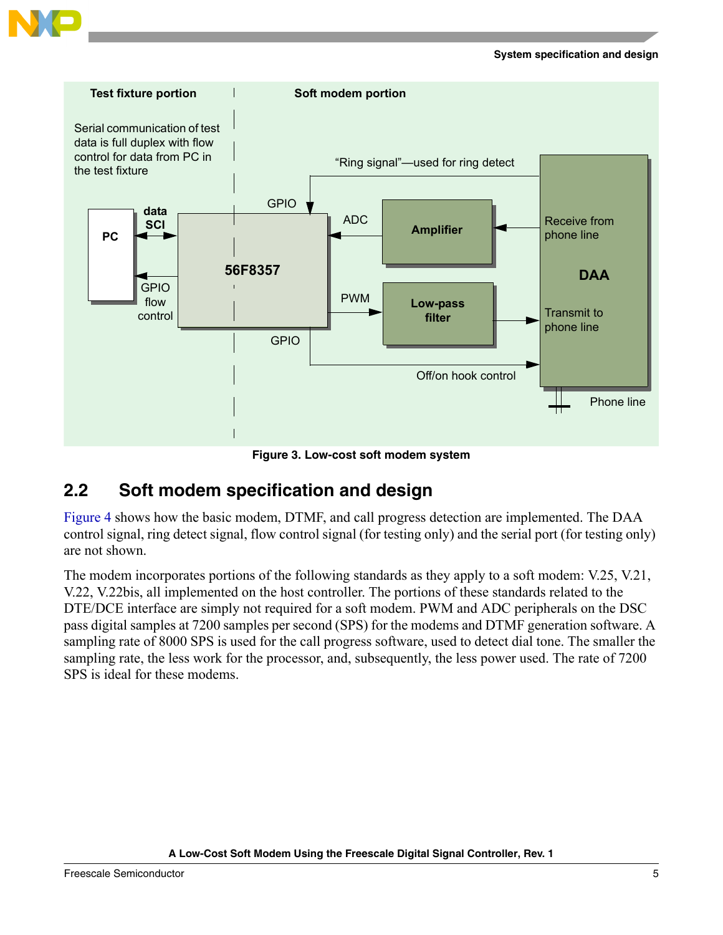



**Figure 3. Low-cost soft modem system**

## <span id="page-4-1"></span><span id="page-4-0"></span>**2.2 Soft modem specification and design**

[Figure 4](#page-5-1) shows how the basic modem, DTMF, and call progress detection are implemented. The DAA control signal, ring detect signal, flow control signal (for testing only) and the serial port (for testing only) are not shown.

The modem incorporates portions of the following standards as they apply to a soft modem: V.25, V.21, V.22, V.22bis, all implemented on the host controller. The portions of these standards related to the DTE/DCE interface are simply not required for a soft modem. PWM and ADC peripherals on the DSC pass digital samples at 7200 samples per second (SPS) for the modems and DTMF generation software. A sampling rate of 8000 SPS is used for the call progress software, used to detect dial tone. The smaller the sampling rate, the less work for the processor, and, subsequently, the less power used. The rate of 7200 SPS is ideal for these modems.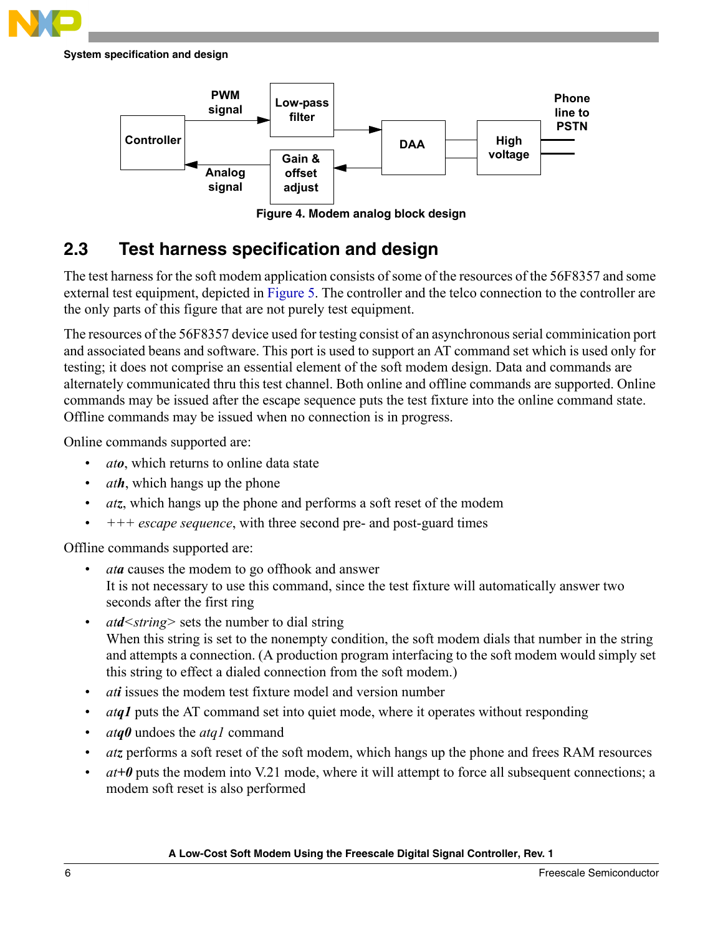

**System specification and design**



**Figure 4. Modem analog block design**

## <span id="page-5-1"></span><span id="page-5-0"></span>**2.3 Test harness specification and design**

The test harness for the soft modem application consists of some of the resources of the 56F8357 and some external test equipment, depicted in [Figure 5.](#page-6-0) The controller and the telco connection to the controller are the only parts of this figure that are not purely test equipment.

The resources of the 56F8357 device used for testing consist of an asynchronous serial comminication port and associated beans and software. This port is used to support an AT command set which is used only for testing; it does not comprise an essential element of the soft modem design. Data and commands are alternately communicated thru this test channel. Both online and offline commands are supported. Online commands may be issued after the escape sequence puts the test fixture into the online command state. Offline commands may be issued when no connection is in progress.

Online commands supported are:

- *ato*, which returns to online data state
- *ath*, which hangs up the phone
- *atz*, which hangs up the phone and performs a soft reset of the modem
- *+++ escape sequence*, with three second pre- and post-guard times

Offline commands supported are:

- *ata* causes the modem to go offhook and answer It is not necessary to use this command, since the test fixture will automatically answer two seconds after the first ring
- *atd<string>* sets the number to dial string When this string is set to the nonempty condition, the soft modem dials that number in the string and attempts a connection. (A production program interfacing to the soft modem would simply set this string to effect a dialed connection from the soft modem.)
- *ati* issues the modem test fixture model and version number
- *atq1* puts the AT command set into quiet mode, where it operates without responding
- *atq0* undoes the *atq1* command
- *atz* performs a soft reset of the soft modem, which hangs up the phone and frees RAM resources
- $at+0$  puts the modem into V.21 mode, where it will attempt to force all subsequent connections; a modem soft reset is also performed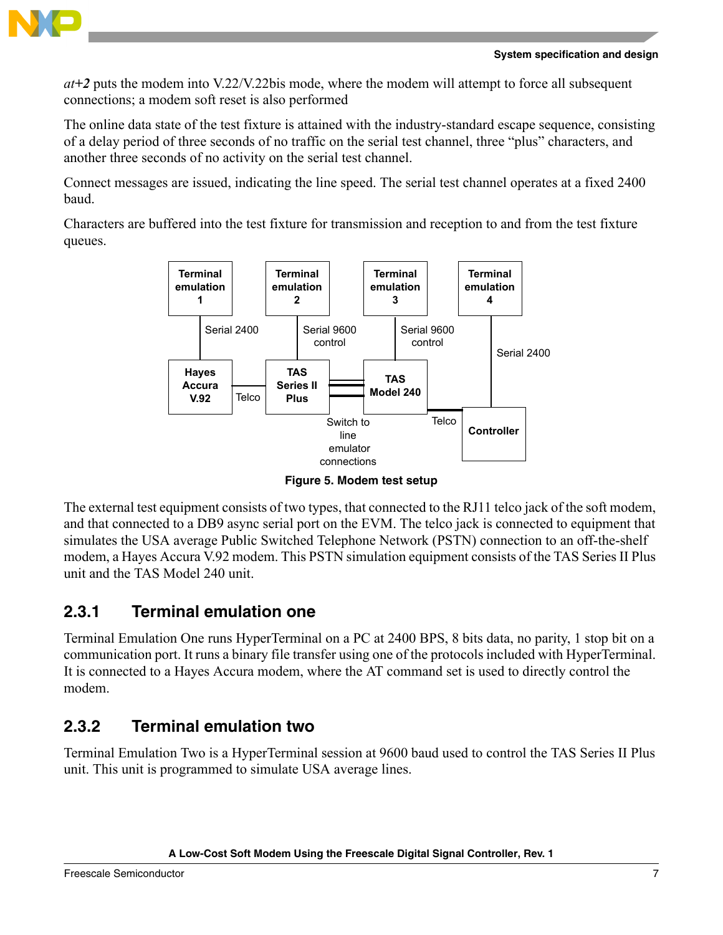

*at+2* puts the modem into V.22/V.22bis mode, where the modem will attempt to force all subsequent connections; a modem soft reset is also performed

The online data state of the test fixture is attained with the industry-standard escape sequence, consisting of a delay period of three seconds of no traffic on the serial test channel, three "plus" characters, and another three seconds of no activity on the serial test channel.

Connect messages are issued, indicating the line speed. The serial test channel operates at a fixed 2400 baud.

Characters are buffered into the test fixture for transmission and reception to and from the test fixture queues.



**Figure 5. Modem test setup**

<span id="page-6-0"></span>The external test equipment consists of two types, that connected to the RJ11 telco jack of the soft modem, and that connected to a DB9 async serial port on the EVM. The telco jack is connected to equipment that simulates the USA average Public Switched Telephone Network (PSTN) connection to an off-the-shelf modem, a Hayes Accura V.92 modem. This PSTN simulation equipment consists of the TAS Series II Plus unit and the TAS Model 240 unit.

## **2.3.1 Terminal emulation one**

Terminal Emulation One runs HyperTerminal on a PC at 2400 BPS, 8 bits data, no parity, 1 stop bit on a communication port. It runs a binary file transfer using one of the protocols included with HyperTerminal. It is connected to a Hayes Accura modem, where the AT command set is used to directly control the modem.

## **2.3.2 Terminal emulation two**

Terminal Emulation Two is a HyperTerminal session at 9600 baud used to control the TAS Series II Plus unit. This unit is programmed to simulate USA average lines.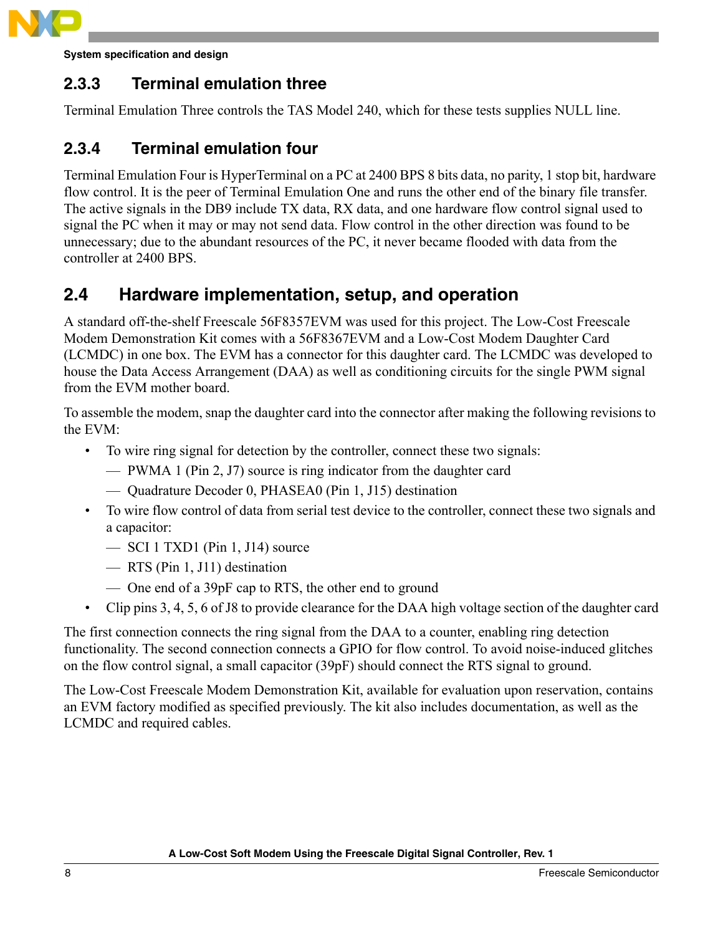

**System specification and design**

### **2.3.3 Terminal emulation three**

Terminal Emulation Three controls the TAS Model 240, which for these tests supplies NULL line.

### **2.3.4 Terminal emulation four**

Terminal Emulation Four is HyperTerminal on a PC at 2400 BPS 8 bits data, no parity, 1 stop bit, hardware flow control. It is the peer of Terminal Emulation One and runs the other end of the binary file transfer. The active signals in the DB9 include TX data, RX data, and one hardware flow control signal used to signal the PC when it may or may not send data. Flow control in the other direction was found to be unnecessary; due to the abundant resources of the PC, it never became flooded with data from the controller at 2400 BPS.

## <span id="page-7-0"></span>**2.4 Hardware implementation, setup, and operation**

A standard off-the-shelf Freescale 56F8357EVM was used for this project. The Low-Cost Freescale Modem Demonstration Kit comes with a 56F8367EVM and a Low-Cost Modem Daughter Card (LCMDC) in one box. The EVM has a connector for this daughter card. The LCMDC was developed to house the Data Access Arrangement (DAA) as well as conditioning circuits for the single PWM signal from the EVM mother board.

To assemble the modem, snap the daughter card into the connector after making the following revisions to the EVM:

- To wire ring signal for detection by the controller, connect these two signals:
	- PWMA 1 (Pin 2, J7) source is ring indicator from the daughter card
	- Quadrature Decoder 0, PHASEA0 (Pin 1, J15) destination
- To wire flow control of data from serial test device to the controller, connect these two signals and a capacitor:
	- SCI 1 TXD1 (Pin 1, J14) source
	- RTS (Pin 1, J11) destination
	- One end of a 39pF cap to RTS, the other end to ground
- Clip pins 3, 4, 5, 6 of J8 to provide clearance for the DAA high voltage section of the daughter card

The first connection connects the ring signal from the DAA to a counter, enabling ring detection functionality. The second connection connects a GPIO for flow control. To avoid noise-induced glitches on the flow control signal, a small capacitor (39pF) should connect the RTS signal to ground.

The Low-Cost Freescale Modem Demonstration Kit, available for evaluation upon reservation, contains an EVM factory modified as specified previously. The kit also includes documentation, as well as the LCMDC and required cables.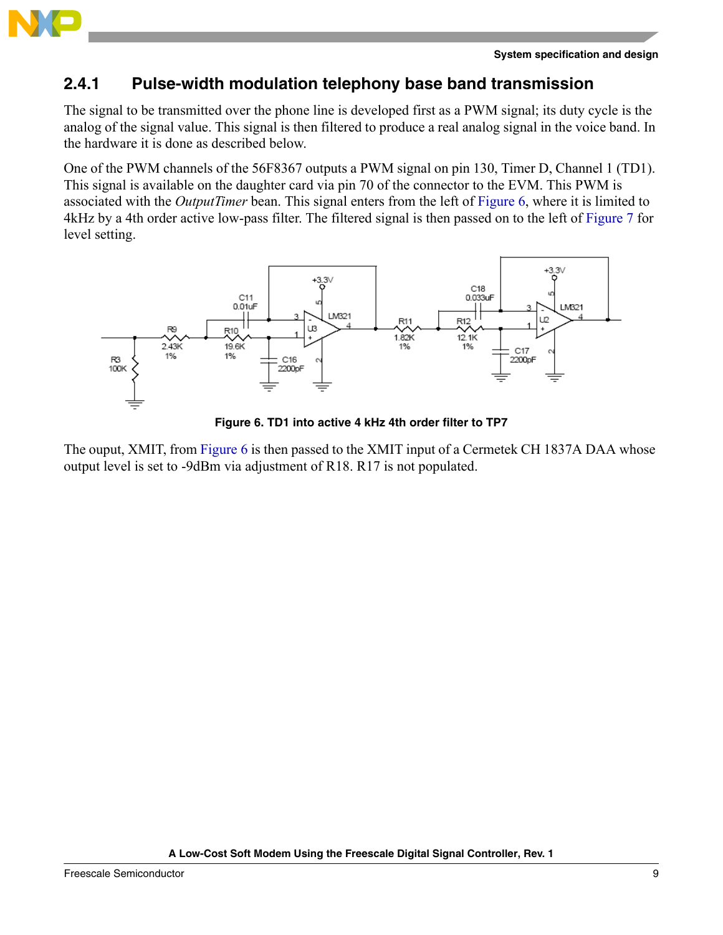

### **2.4.1 Pulse-width modulation telephony base band transmission**

The signal to be transmitted over the phone line is developed first as a PWM signal; its duty cycle is the analog of the signal value. This signal is then filtered to produce a real analog signal in the voice band. In the hardware it is done as described below.

One of the PWM channels of the 56F8367 outputs a PWM signal on pin 130, Timer D, Channel 1 (TD1). This signal is available on the daughter card via pin 70 of the connector to the EVM. This PWM is associated with the *OutputTimer* bean. This signal enters from the left of [Figure 6](#page-8-0), where it is limited to 4kHz by a 4th order active low-pass filter. The filtered signal is then passed on to the left of [Figure 7](#page-9-0) for level setting.



**Figure 6. TD1 into active 4 kHz 4th order filter to TP7**

<span id="page-8-0"></span>The ouput, XMIT, from [Figure 6](#page-8-0) is then passed to the XMIT input of a Cermetek CH 1837A DAA whose output level is set to -9dBm via adjustment of R18. R17 is not populated.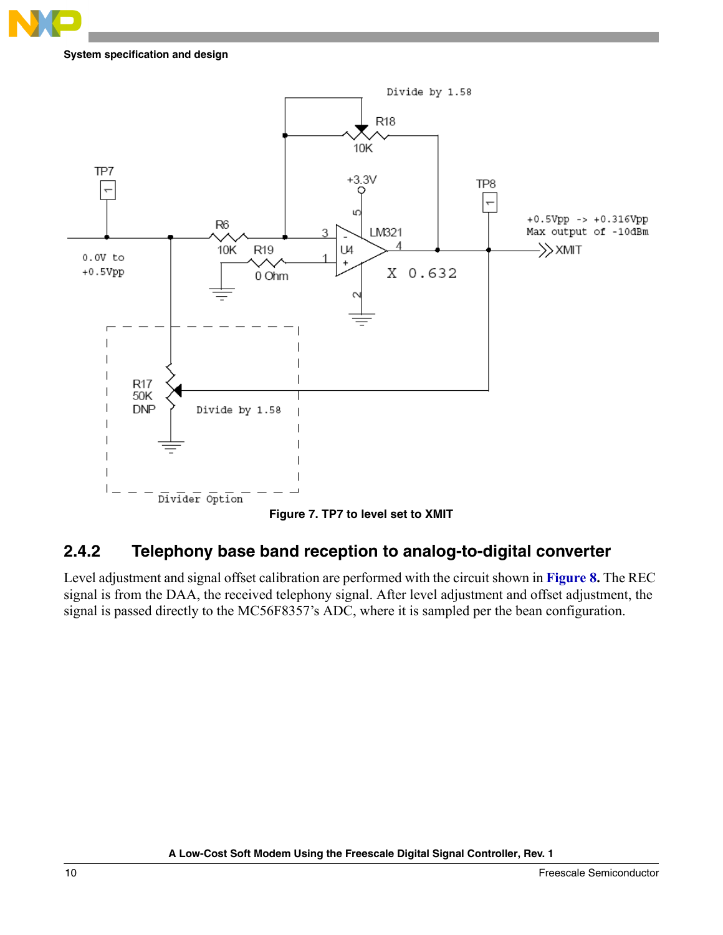

#### **System specification and design**



### <span id="page-9-0"></span>**2.4.2 Telephony base band reception to analog-to-digital converter**

Level adjustment and signal offset calibration are performed with the circuit shown in **[Figure 8.](#page-10-2)** The REC signal is from the DAA, the received telephony signal. After level adjustment and offset adjustment, the signal is passed directly to the MC56F8357's ADC, where it is sampled per the bean configuration.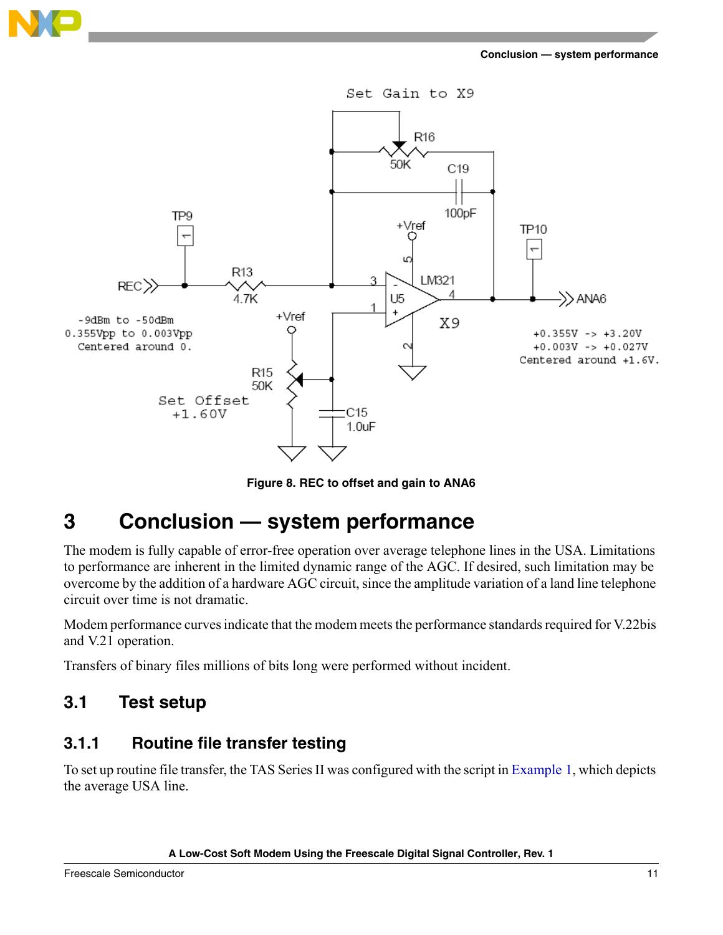

**Figure 8. REC to offset and gain to ANA6**

<span id="page-10-2"></span><span id="page-10-0"></span>The modem is fully capable of error-free operation over average telephone lines in the USA. Limitations to performance are inherent in the limited dynamic range of the AGC. If desired, such limitation may be overcome by the addition of a hardware AGC circuit, since the amplitude variation of a land line telephone circuit over time is not dramatic.

Modem performance curves indicate that the modem meets the performance standards required for V.22bis and V.21 operation.

Transfers of binary files millions of bits long were performed without incident.

## <span id="page-10-1"></span>**3.1 Test setup**

### **3.1.1 Routine file transfer testing**

To set up routine file transfer, the TAS Series II was configured with the script in [Example 1,](#page-11-0) which depicts the average USA line.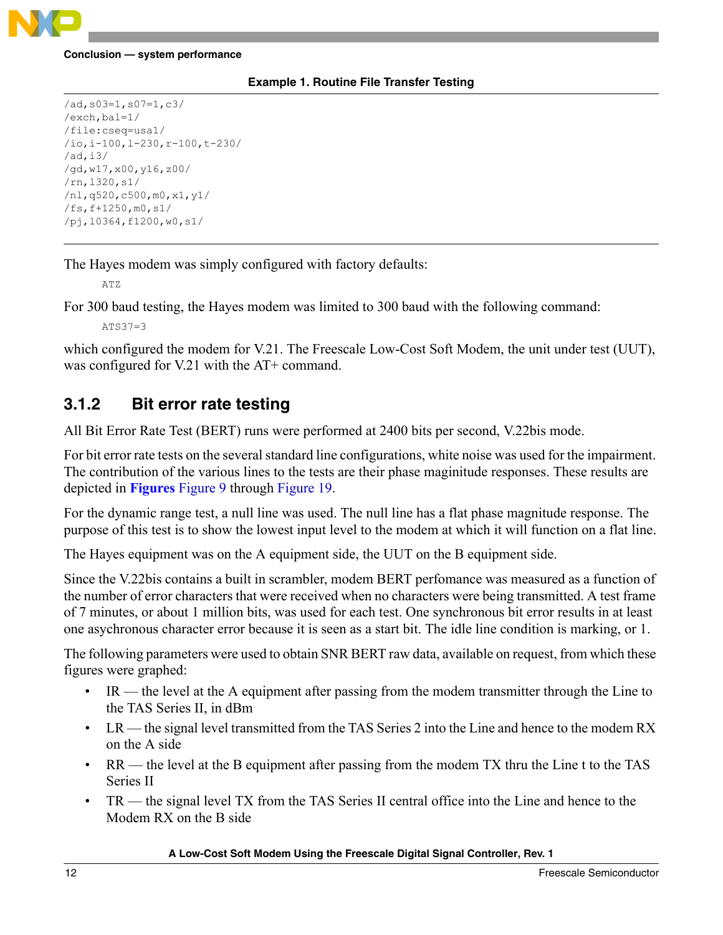

#### **Example 1. Routine File Transfer Testing**

```
/ad,s03=1,s07=1,c3/ 
/exch,bal=1/ 
/file:cseq=usa1/ 
/io,i-100,l-230,r-100,t-230/
/ad,i3/
/gd,w17,x00,y16,z00/ 
/rn,l320,s1/ 
/nl,q520,c500,m0,x1,y1/
/fs,f+1250,m0,s1/
/pj,l0364,f1200,w0,s1/
```
The Hayes modem was simply configured with factory defaults:

ATZ

For 300 baud testing, the Hayes modem was limited to 300 baud with the following command:

 $ATS37=3$ 

which configured the modem for V.21. The Freescale Low-Cost Soft Modem, the unit under test (UUT), was configured for V.21 with the AT+ command.

### **3.1.2 Bit error rate testing**

All Bit Error Rate Test (BERT) runs were performed at 2400 bits per second, V.22bis mode.

For bit error rate tests on the several standard line configurations, white noise was used for the impairment. The contribution of the various lines to the tests are their phase maginitude responses. These results are depicted in **Figures** [Figure 9](#page-13-0) through [Figure 19](#page-23-1).

For the dynamic range test, a null line was used. The null line has a flat phase magnitude response. The purpose of this test is to show the lowest input level to the modem at which it will function on a flat line.

The Hayes equipment was on the A equipment side, the UUT on the B equipment side.

Since the V.22bis contains a built in scrambler, modem BERT perfomance was measured as a function of the number of error characters that were received when no characters were being transmitted. A test frame of 7 minutes, or about 1 million bits, was used for each test. One synchronous bit error results in at least one asychronous character error because it is seen as a start bit. The idle line condition is marking, or 1.

The following parameters were used to obtain SNR BERT raw data, available on request, from which these figures were graphed:

- IR the level at the A equipment after passing from the modem transmitter through the Line to the TAS Series II, in dBm
- $LR$  the signal level transmitted from the TAS Series 2 into the Line and hence to the modem RX on the A side
- RR the level at the B equipment after passing from the modem TX thru the Line t to the TAS Series II
- TR the signal level TX from the TAS Series II central office into the Line and hence to the Modem RX on the B side

#### **A Low-Cost Soft Modem Using the Freescale Digital Signal Controller, Rev. 1**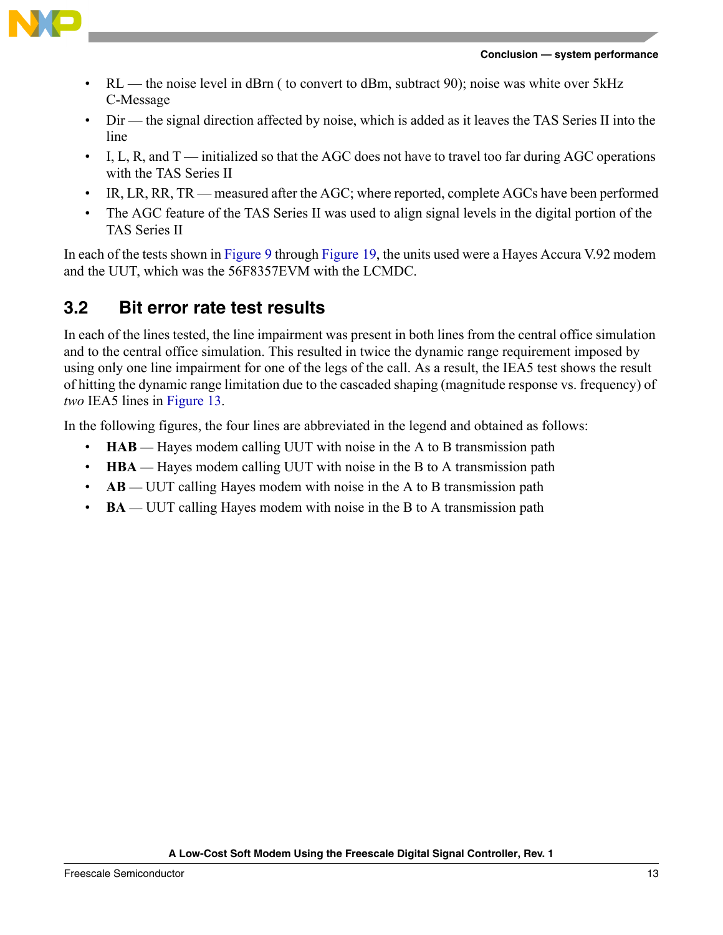



- RL the noise level in dBrn (to convert to dBm, subtract 90); noise was white over 5 kHz C-Message
- Dir the signal direction affected by noise, which is added as it leaves the TAS Series II into the line
- I, L, R, and T initialized so that the AGC does not have to travel too far during AGC operations with the TAS Series II
- IR, LR, RR, TR measured after the AGC; where reported, complete AGCs have been performed
- The AGC feature of the TAS Series II was used to align signal levels in the digital portion of the TAS Series II

In each of the tests shown in [Figure 9](#page-13-0) through [Figure 19,](#page-23-1) the units used were a Hayes Accura V.92 modem and the UUT, which was the 56F8357EVM with the LCMDC.

## <span id="page-12-0"></span>**3.2 Bit error rate test results**

In each of the lines tested, the line impairment was present in both lines from the central office simulation and to the central office simulation. This resulted in twice the dynamic range requirement imposed by using only one line impairment for one of the legs of the call. As a result, the IEA5 test shows the result of hitting the dynamic range limitation due to the cascaded shaping (magnitude response vs. frequency) of *two* IEA5 lines in [Figure 13.](#page-17-0)

In the following figures, the four lines are abbreviated in the legend and obtained as follows:

- **HAB** Hayes modem calling UUT with noise in the A to B transmission path
- **HBA** Hayes modem calling UUT with noise in the B to A transmission path
- **AB**  UUT calling Hayes modem with noise in the A to B transmission path
- **BA** UUT calling Hayes modem with noise in the B to A transmission path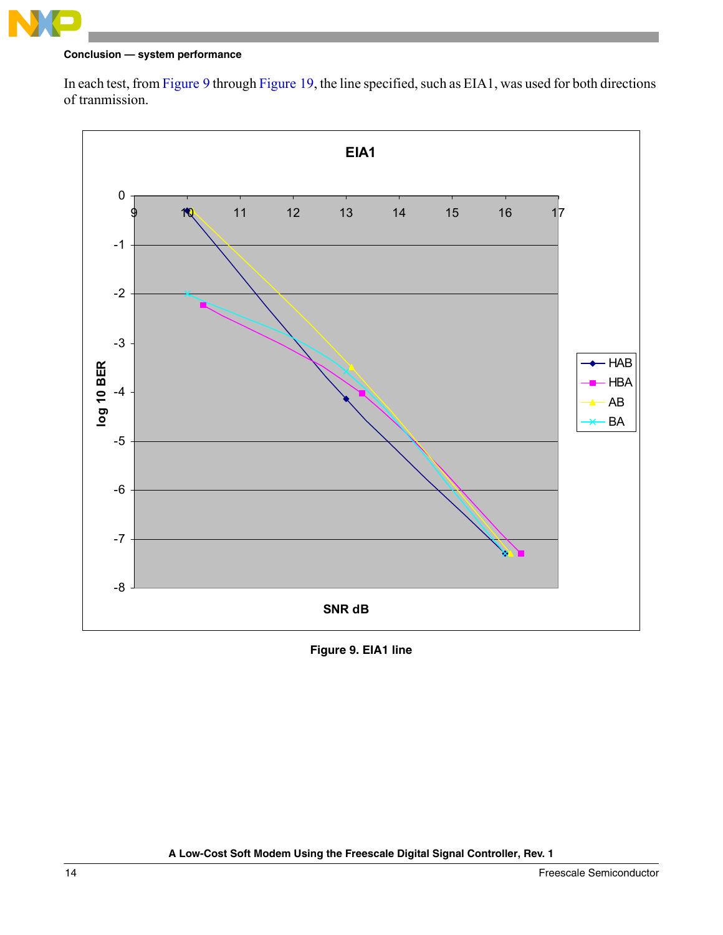

In each test, from [Figure 9](#page-13-0) through [Figure 19,](#page-23-1) the line specified, such as EIA1, was used for both directions of tranmission.



<span id="page-13-0"></span>**Figure 9. EIA1 line**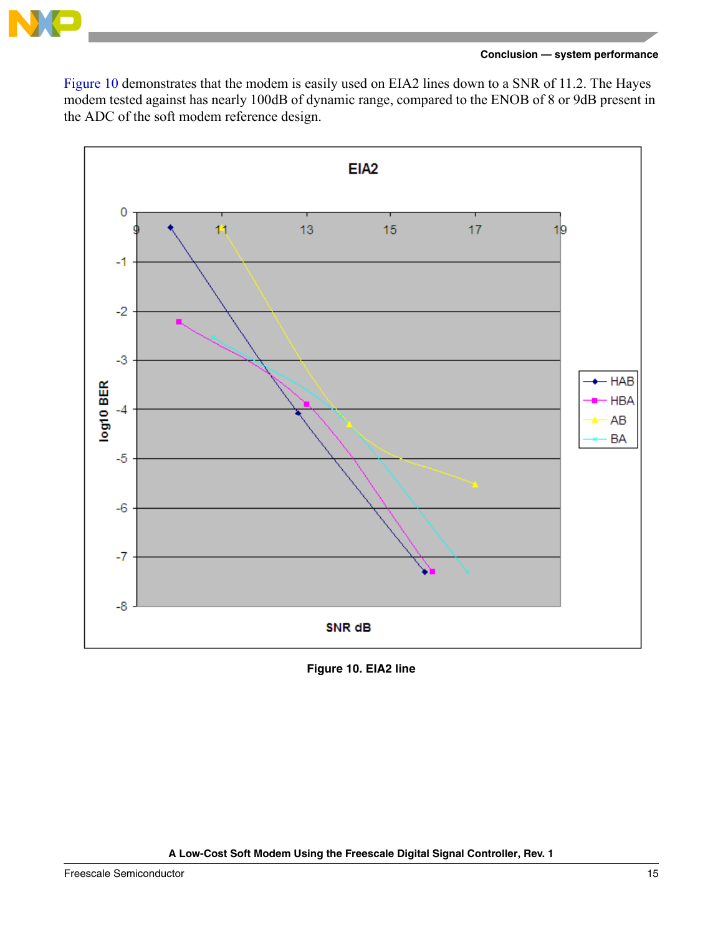

[Figure 10](#page-14-0) demonstrates that the modem is easily used on EIA2 lines down to a SNR of 11.2. The Hayes modem tested against has nearly 100dB of dynamic range, compared to the ENOB of 8 or 9dB present in the ADC of the soft modem reference design.



<span id="page-14-0"></span>**Figure 10. EIA2 line**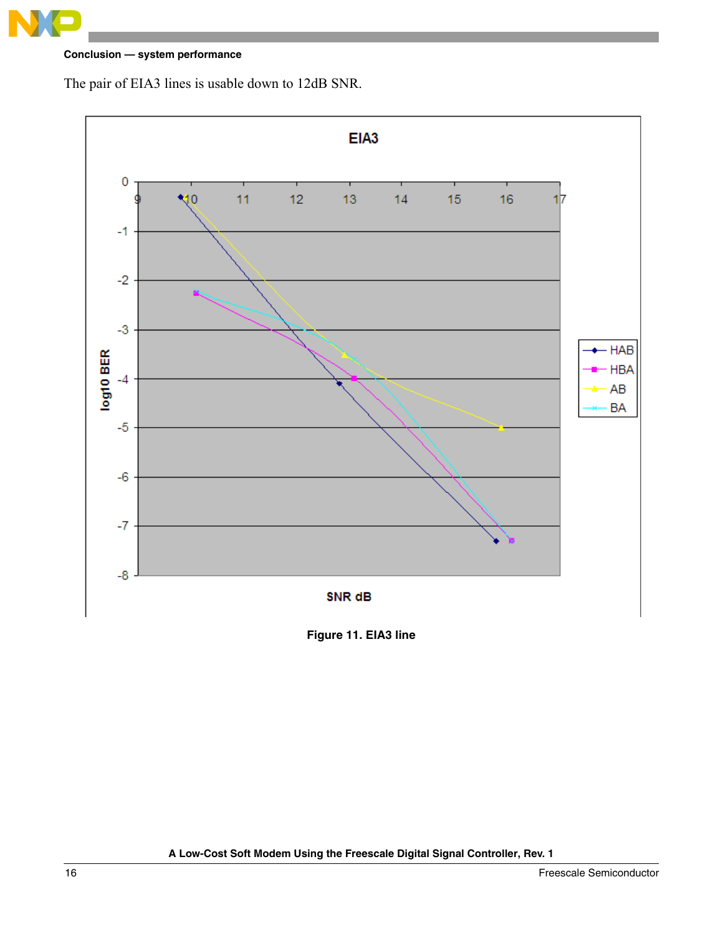**Conclusion — system performance**

The pair of EIA3 lines is usable down to 12dB SNR.



**Figure 11. EIA3 line**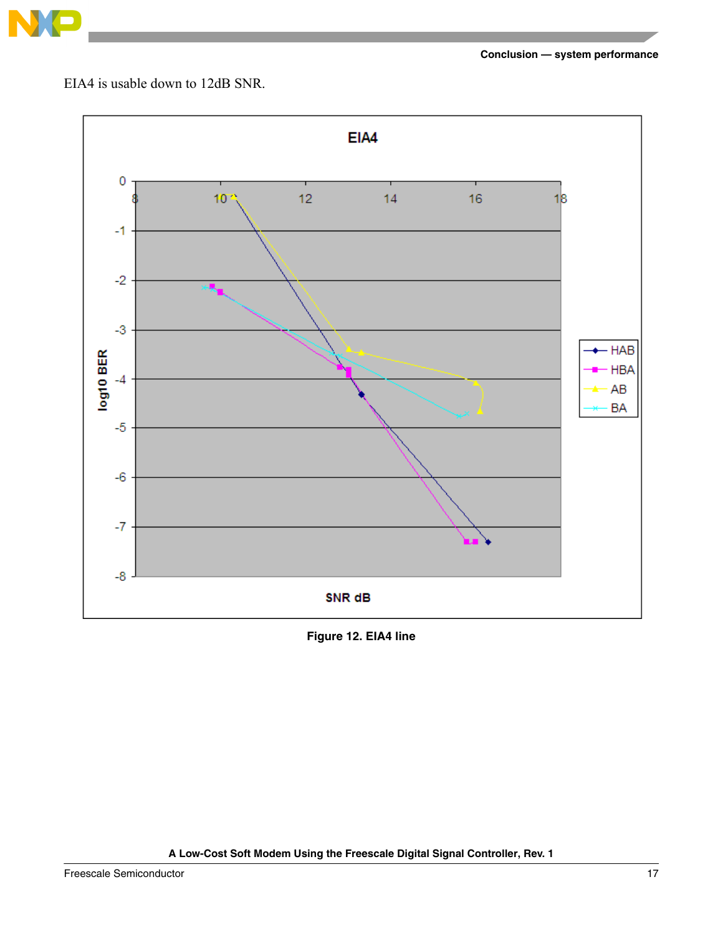

EIA4 is usable down to 12dB SNR.



**Figure 12. EIA4 line**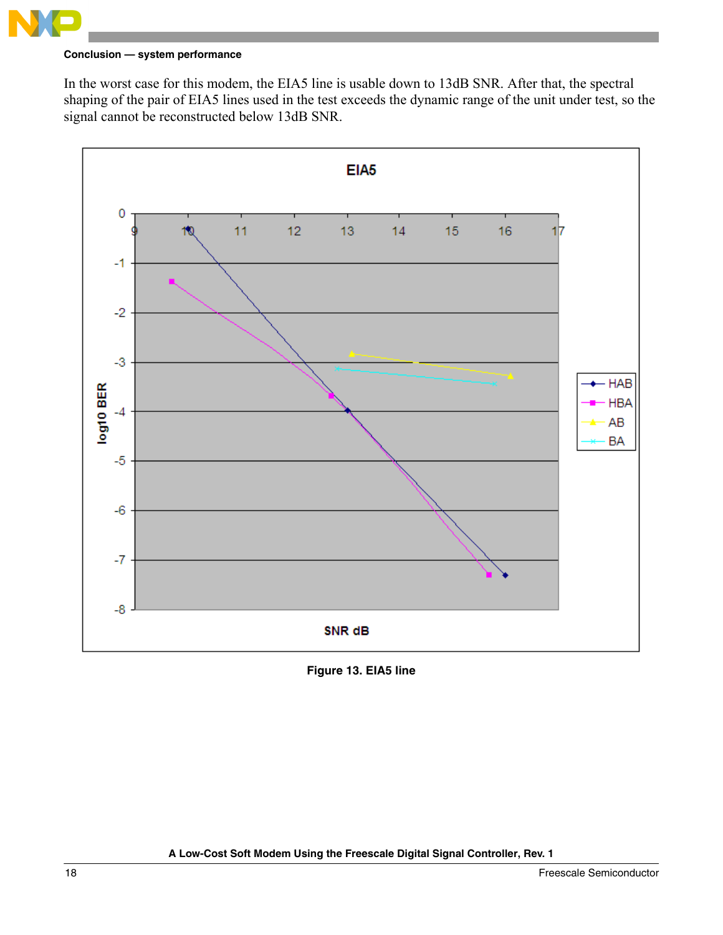

In the worst case for this modem, the EIA5 line is usable down to 13dB SNR. After that, the spectral shaping of the pair of EIA5 lines used in the test exceeds the dynamic range of the unit under test, so the signal cannot be reconstructed below 13dB SNR.



<span id="page-17-0"></span>**Figure 13. EIA5 line**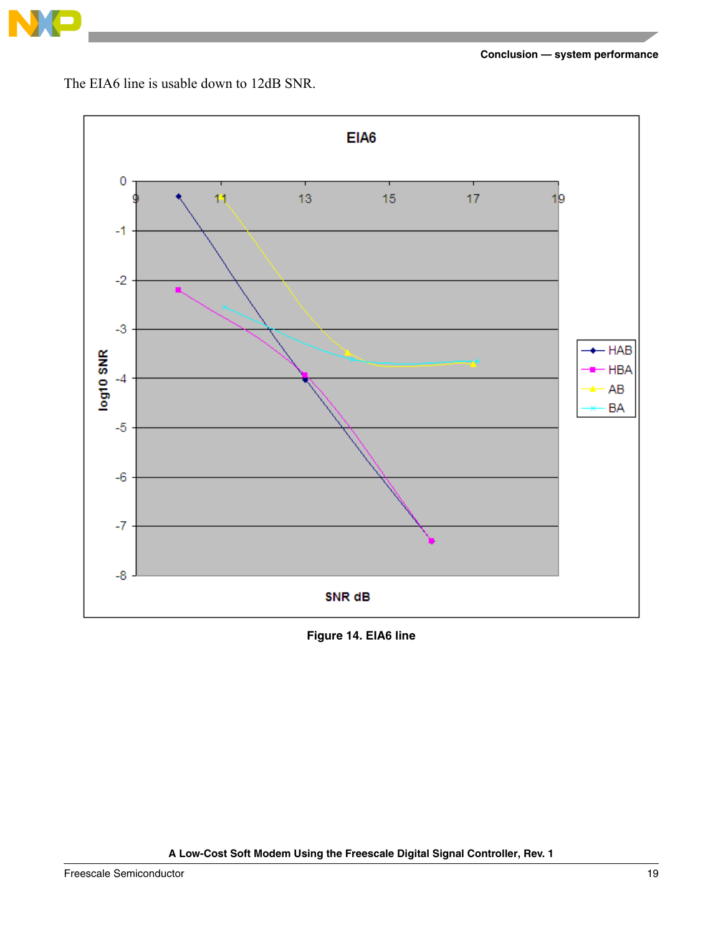

The EIA6 line is usable down to 12dB SNR.



**Figure 14. EIA6 line**

**A Low-Cost Soft Modem Using the Freescale Digital Signal Controller, Rev. 1**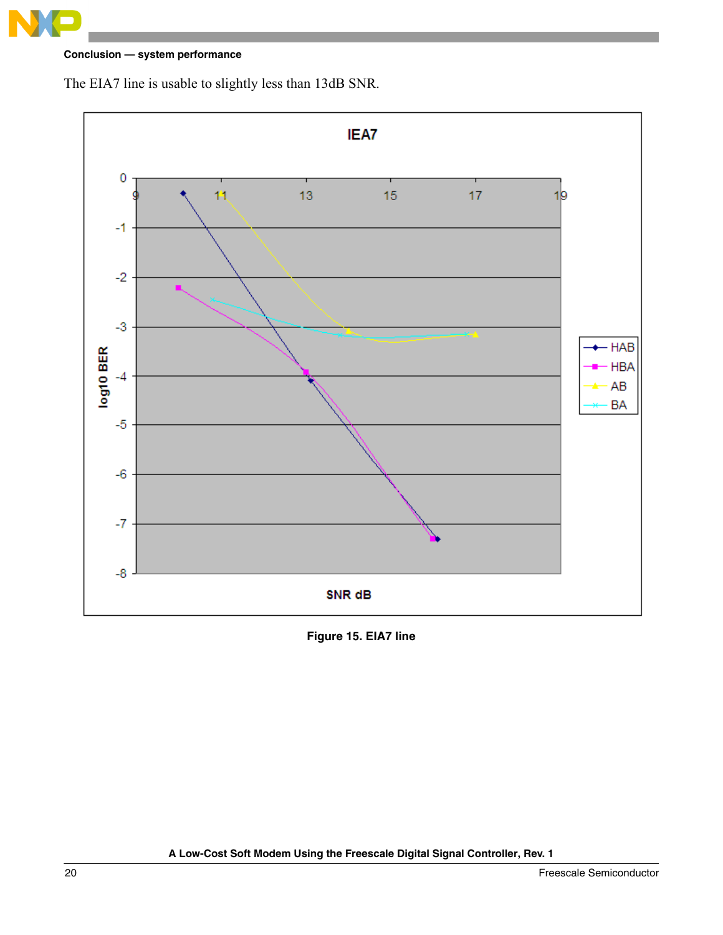

The EIA7 line is usable to slightly less than 13dB SNR.



**Figure 15. EIA7 line**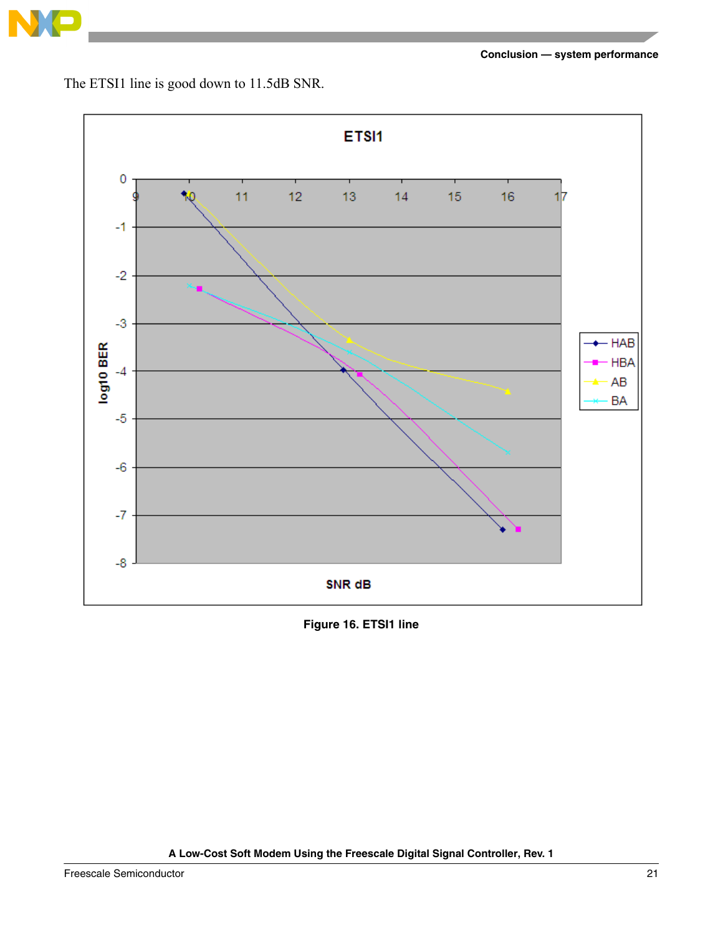

The ETSI1 line is good down to 11.5dB SNR.



**Figure 16. ETSI1 line**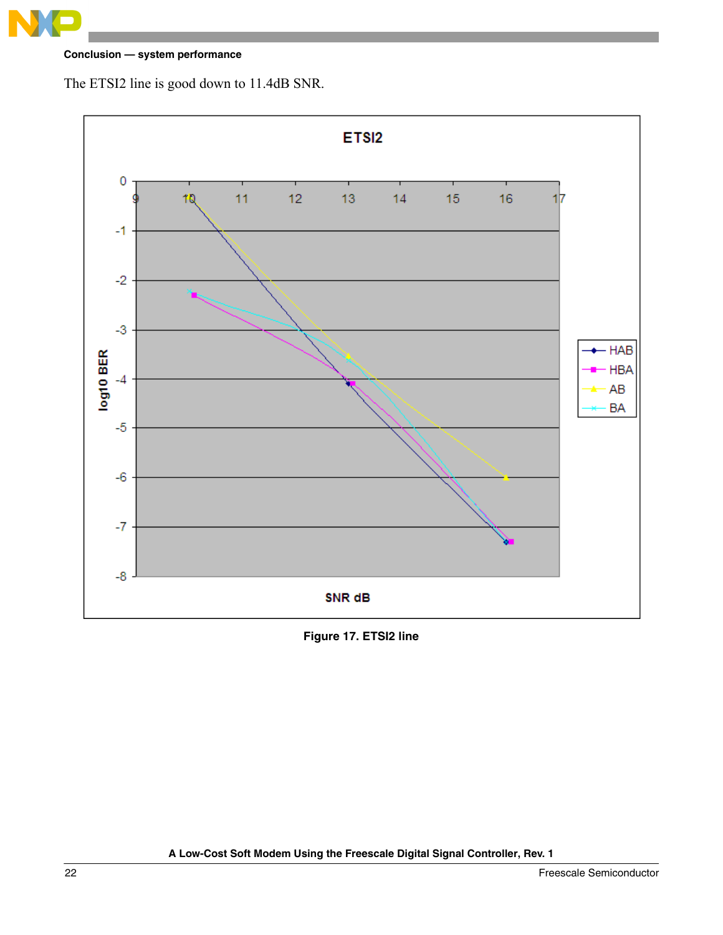

The ETSI2 line is good down to 11.4dB SNR.



**Figure 17. ETSI2 line**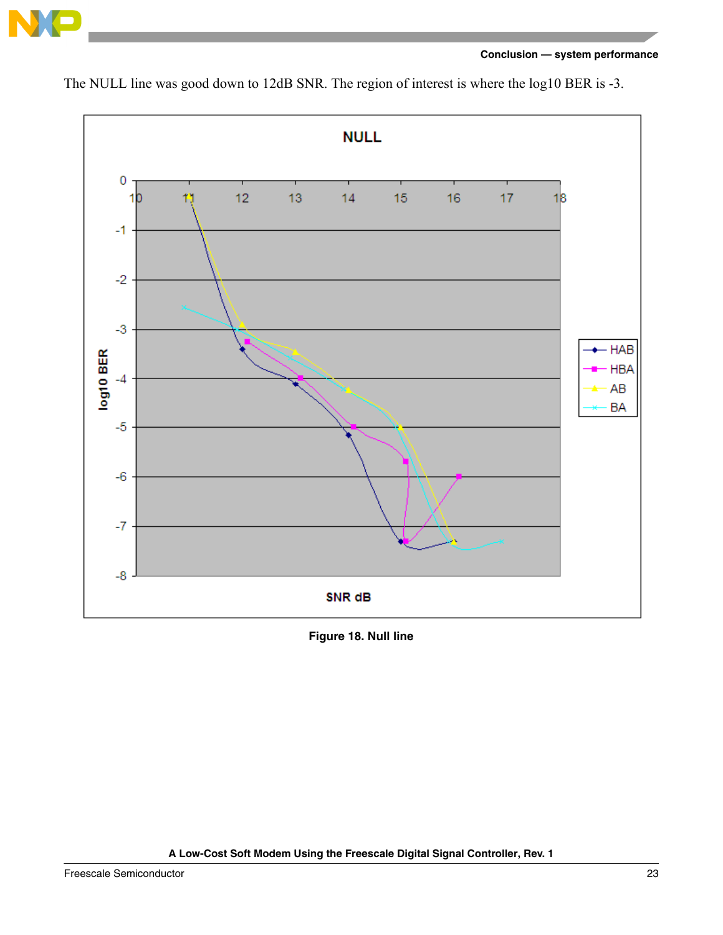



The NULL line was good down to 12dB SNR. The region of interest is where the log10 BER is -3.

**Figure 18. Null line**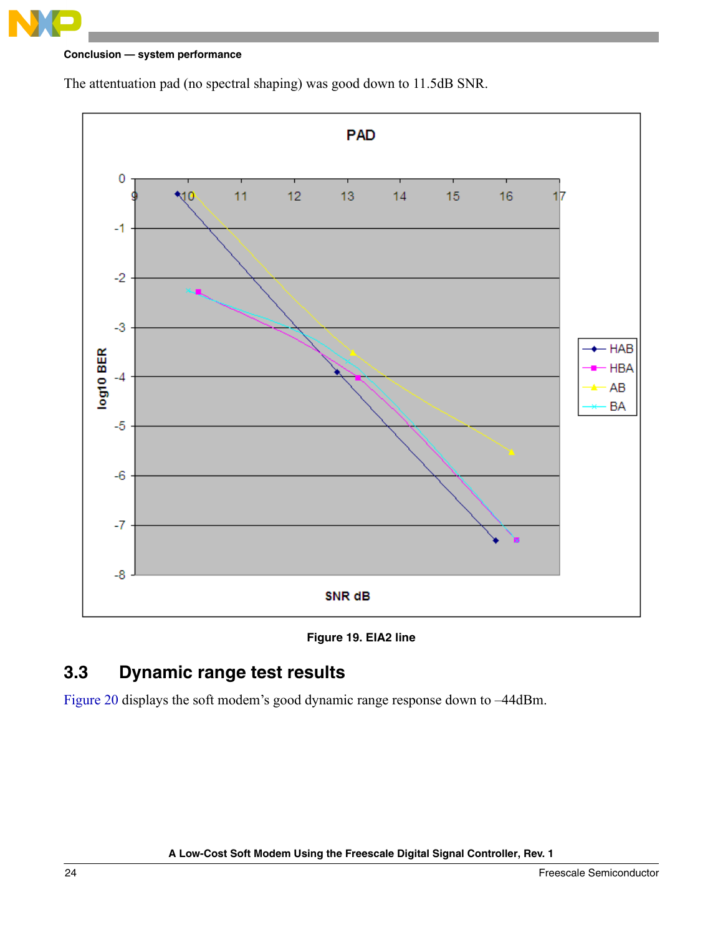



The attentuation pad (no spectral shaping) was good down to 11.5dB SNR.



## <span id="page-23-1"></span><span id="page-23-0"></span>**3.3 Dynamic range test results**

[Figure 20](#page-24-1) displays the soft modem's good dynamic range response down to –44dBm.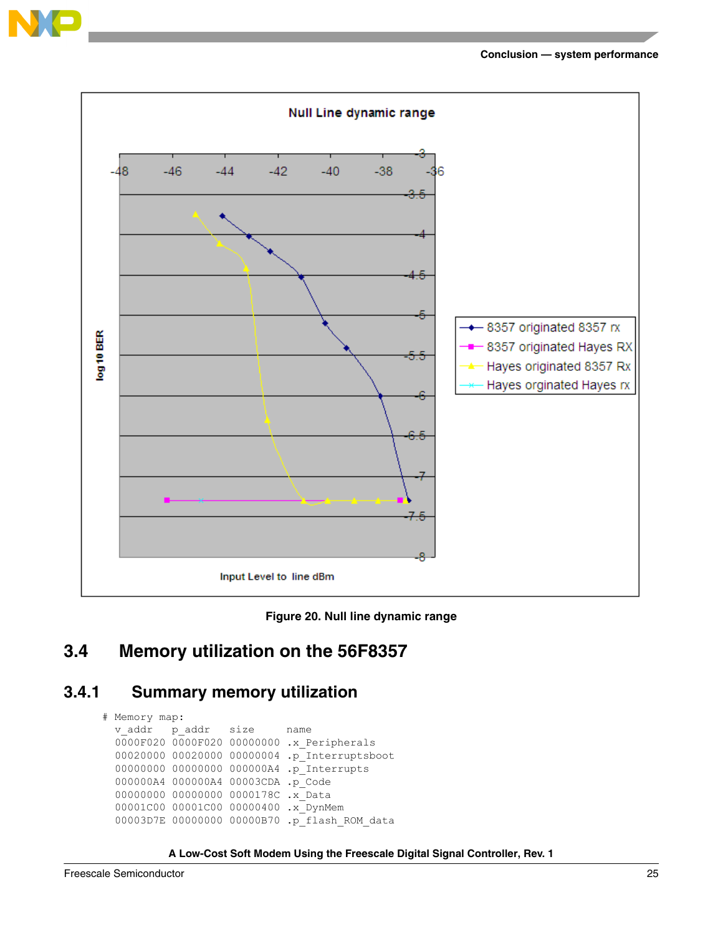





## <span id="page-24-1"></span><span id="page-24-0"></span>**3.4 Memory utilization on the 56F8357**

### **3.4.1 Summary memory utilization**

```
# Memory map:
 v addr p_addr size name
  0000F020 0000F020 00000000 .x_Peripherals
  00020000 00020000 00000004 .p_Interruptsboot
  00000000 00000000 000000A4 .p_Interrupts
  000000A4 000000A4 00003CDA .p_Code
  00000000 00000000 0000178C .x_Data
  00001C00 00001C00 00000400 .x_DynMem
  00003D7E 00000000 00000B70 .p_flash_ROM_data
```
**A Low-Cost Soft Modem Using the Freescale Digital Signal Controller, Rev. 1**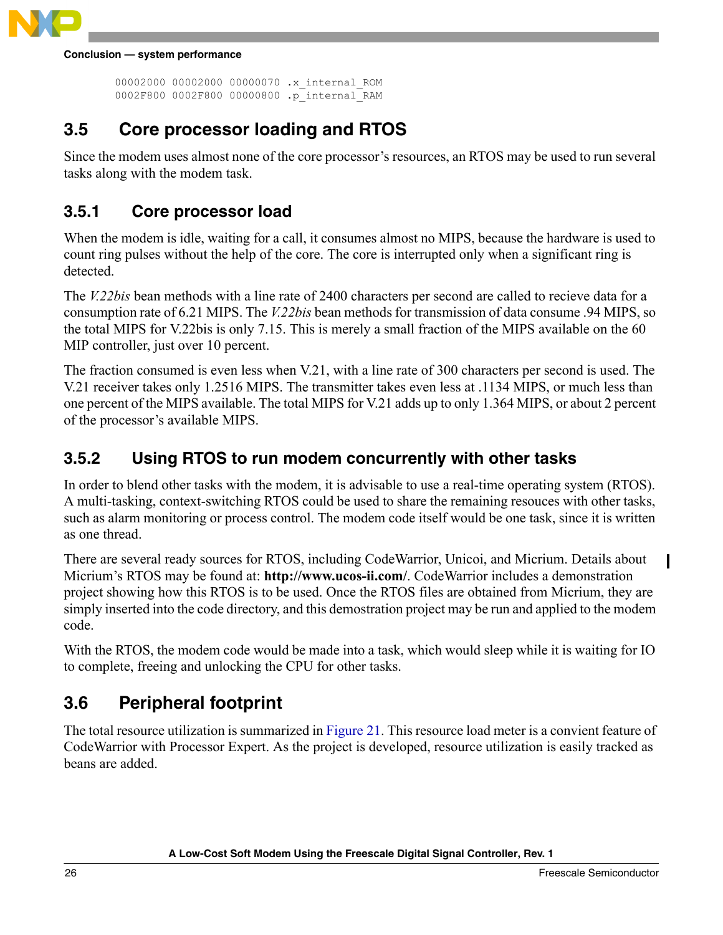

```
 00002000 00002000 00000070 .x_internal_ROM
 0002F800 0002F800 00000800 .p_internal_RAM
```
## <span id="page-25-0"></span>**3.5 Core processor loading and RTOS**

Since the modem uses almost none of the core processor's resources, an RTOS may be used to run several tasks along with the modem task.

## **3.5.1 Core processor load**

When the modem is idle, waiting for a call, it consumes almost no MIPS, because the hardware is used to count ring pulses without the help of the core. The core is interrupted only when a significant ring is detected.

The *V.22bis* bean methods with a line rate of 2400 characters per second are called to recieve data for a consumption rate of 6.21 MIPS. The *V.22bis* bean methods for transmission of data consume .94 MIPS, so the total MIPS for V.22bis is only 7.15. This is merely a small fraction of the MIPS available on the 60 MIP controller, just over 10 percent.

The fraction consumed is even less when V.21, with a line rate of 300 characters per second is used. The V.21 receiver takes only 1.2516 MIPS. The transmitter takes even less at .1134 MIPS, or much less than one percent of the MIPS available. The total MIPS for V.21 adds up to only 1.364 MIPS, or about 2 percent of the processor's available MIPS.

### **3.5.2 Using RTOS to run modem concurrently with other tasks**

In order to blend other tasks with the modem, it is advisable to use a real-time operating system (RTOS). A multi-tasking, context-switching RTOS could be used to share the remaining resouces with other tasks, such as alarm monitoring or process control. The modem code itself would be one task, since it is written as one thread.

There are several ready sources for RTOS, including CodeWarrior, Unicoi, and Micrium. Details about Micrium's RTOS may be found at: **http://www.ucos-ii.com/**. CodeWarrior includes a demonstration project showing how this RTOS is to be used. Once the RTOS files are obtained from Micrium, they are simply inserted into the code directory, and this demostration project may be run and applied to the modem code.

With the RTOS, the modem code would be made into a task, which would sleep while it is waiting for IO to complete, freeing and unlocking the CPU for other tasks.

## <span id="page-25-1"></span>**3.6 Peripheral footprint**

The total resource utilization is summarized in [Figure 21.](#page-26-0) This resource load meter is a convient feature of CodeWarrior with Processor Expert. As the project is developed, resource utilization is easily tracked as beans are added.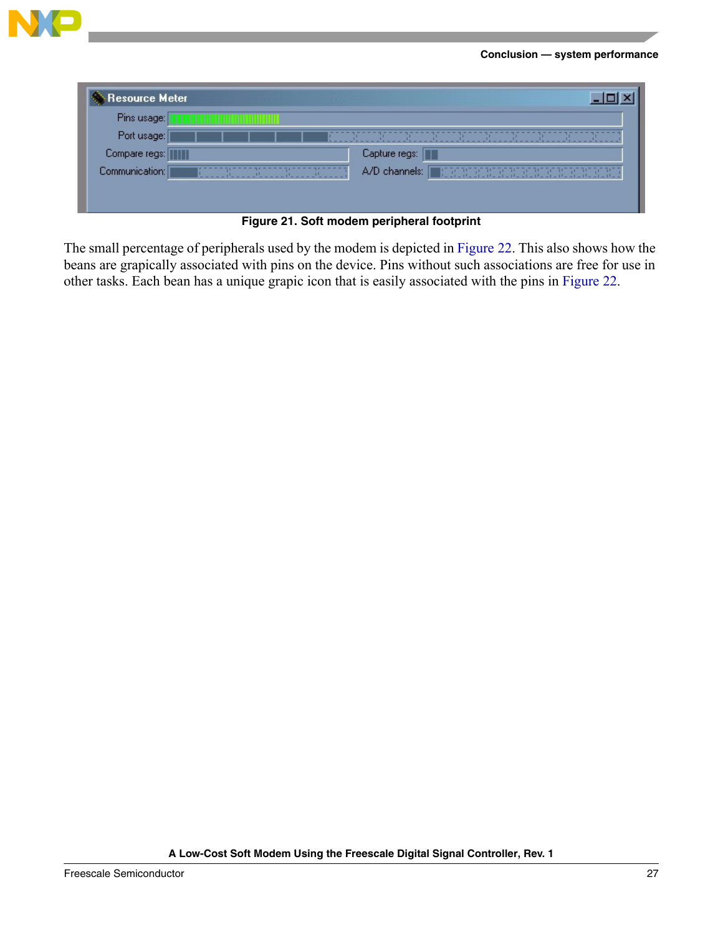

| Resource Meter |               |  |  |  |
|----------------|---------------|--|--|--|
| Pins usage:    |               |  |  |  |
| Port usage:    |               |  |  |  |
| Compare regs:  | Capture regs: |  |  |  |
| Communication: |               |  |  |  |
|                |               |  |  |  |
|                |               |  |  |  |

**Figure 21. Soft modem peripheral footprint**

<span id="page-26-0"></span>The small percentage of peripherals used by the modem is depicted in [Figure 22.](#page-27-1) This also shows how the beans are grapically associated with pins on the device. Pins without such associations are free for use in other tasks. Each bean has a unique grapic icon that is easily associated with the pins in [Figure 22.](#page-27-1)

**A Low-Cost Soft Modem Using the Freescale Digital Signal Controller, Rev. 1**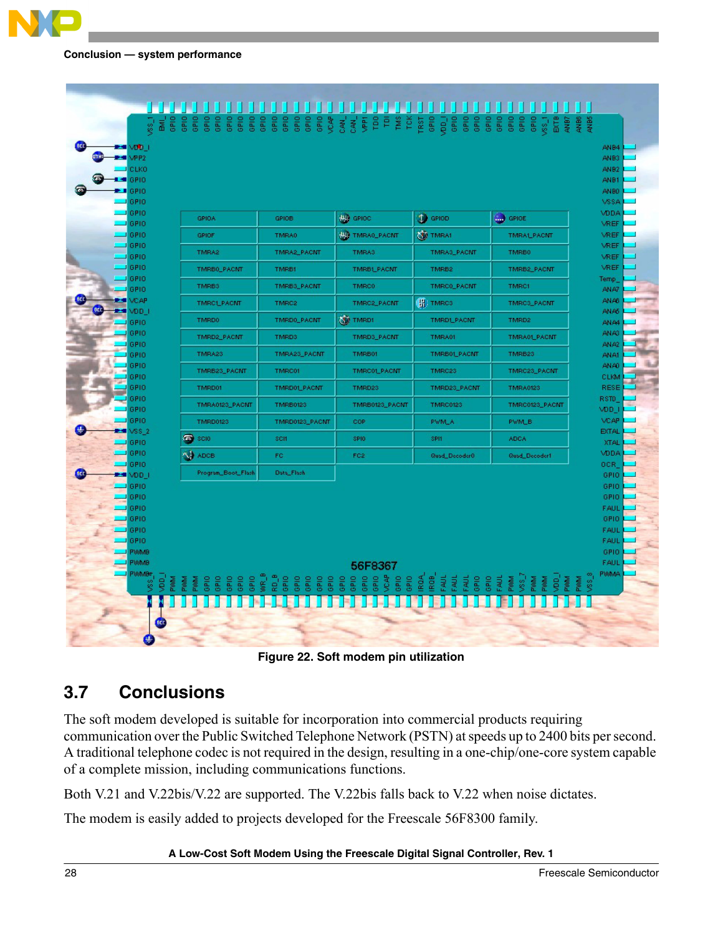| <b>BEST VOLD 1</b><br>VPP <sub>2</sub><br>×    |                                                                    |                                                                                       |                                                             |                                                              |                                                                  | ANB4<br>ANB3               |
|------------------------------------------------|--------------------------------------------------------------------|---------------------------------------------------------------------------------------|-------------------------------------------------------------|--------------------------------------------------------------|------------------------------------------------------------------|----------------------------|
| <b>CLKO</b>                                    |                                                                    |                                                                                       |                                                             |                                                              |                                                                  | ANB <sub>2</sub>           |
| GPIO.<br>۰<br>GPIO.                            |                                                                    |                                                                                       |                                                             |                                                              |                                                                  | ANB1<br>ANB0               |
| GPIO.                                          |                                                                    |                                                                                       |                                                             |                                                              |                                                                  | VSSA                       |
| GPIO<br>GPIO                                   | <b>GPIOA</b>                                                       | GPIOB                                                                                 | <b>WA</b> GPIOC                                             | <b>O</b> GPIOD                                               | GPIOE                                                            | VDDA<br>VREF               |
| GPIO                                           | <b>GPIOF</b>                                                       | <b>TMRA0</b>                                                                          | <b>WA TMRAO_PACNT</b>                                       | <b>WEAT</b>                                                  | <b>TMRALPACNT</b>                                                | VREF                       |
| GPIO<br>GPIO                                   | TMRA2                                                              | TMRA2_PACNT                                                                           | TMRA3                                                       | TMRA3_PACNT                                                  | TMRB0                                                            | VREF<br>VREF               |
| GPIO                                           | TMRB0_PACMT                                                        | <b>TMRB1</b>                                                                          | <b>TMRBLPACNT</b>                                           | TMRB2                                                        | TMRB2_PACNT                                                      | VREF                       |
| GPIO<br>GPIO                                   | TMRB3                                                              | TMRB3_PACNT                                                                           | <b>TMRC0</b>                                                | TMRC0_PACNT                                                  | TMRC1                                                            | Temp<br>AN A7              |
| <b>VCAP</b>                                    | <b>TMRCLPACMT</b>                                                  | TMRC2                                                                                 | TMRC2_PACNT                                                 | (H) TMRC3                                                    | TMRC3_PACMT                                                      | ANA6                       |
| <b>BED</b><br>VDD_I<br><b>CONTRACT</b><br>GPIO | <b>TMRD0</b>                                                       | TMRD0_PACNT                                                                           | <b>OF TMRD1</b>                                             | TMRDLPACNT                                                   | TMRD <sub>2</sub>                                                | ANA5<br><b>ANA4</b>        |
| GPIO                                           | TMRD2_PACMT                                                        | TMRD3                                                                                 | TMRD3_PACNT                                                 | TMRA01                                                       | TMRA01_PACNT                                                     | ANA3                       |
| GPIO<br>GPIO                                   | TMRA23                                                             | TMRA23_PACMT                                                                          | TMRB01                                                      | TMRB01_PACMT                                                 | TMRB23                                                           | ANA2<br><b>ANA1</b>        |
| GPIO                                           | TMRB23_PACNT                                                       | <b>TMRC01</b>                                                                         | TMRC01_PACNT                                                | TMRC23                                                       | TMRC23_PACNT                                                     | AN AO                      |
| GPIO<br>GPIO                                   | TMRD01                                                             | TMRD01_PACNT                                                                          | TMRD23                                                      | TMRD23_PACNT                                                 | <b>TMRA0123</b>                                                  | <b>CLKM</b><br>RESE        |
| GPIO.                                          | TMRA0123_PACNT                                                     | <b>TMRB0123</b>                                                                       | TMRB0123_PACNT                                              | <b>TMRC0123</b>                                              | TMRC0123_PACNT                                                   | RSTD                       |
| GPIO<br>GPIO.                                  | <b>TMRD0123</b>                                                    | TMRD0123_PACNT                                                                        | COP                                                         | <b>PWM_A</b>                                                 | PWM_B                                                            | VDD_I<br><b>VCAP</b>       |
| VSS_2                                          |                                                                    |                                                                                       | SPIO                                                        | SPI1                                                         |                                                                  | <b>EXTAL</b>               |
| GPIO<br>GPIO                                   | <b>D</b> SCIO                                                      | <b>SCII</b>                                                                           |                                                             |                                                              | <b>ADCA</b>                                                      | <b>XTAL</b><br>VDDA        |
| GPIO                                           | <b>SA ADCB</b>                                                     | FC                                                                                    | FC <sub>2</sub>                                             | <b>Quad_Decoder0</b>                                         | <b>Quad_Decoder1</b>                                             | OCR.                       |
| VDD_I<br>GPIO                                  | Program_Boot_Flash                                                 | Data_Flash                                                                            |                                                             |                                                              |                                                                  | GPIO<br>GPIO               |
| GPIO                                           |                                                                    |                                                                                       |                                                             |                                                              |                                                                  | GPIO                       |
| GPIO<br>GPIO                                   |                                                                    |                                                                                       |                                                             |                                                              |                                                                  | <b>FAUL</b><br>GPIO        |
| GPIO                                           |                                                                    |                                                                                       |                                                             |                                                              |                                                                  | <b>FAUL</b>                |
| GPIO.                                          |                                                                    |                                                                                       |                                                             |                                                              |                                                                  | FAUL                       |
| PVMMB<br>PVMMB                                 |                                                                    |                                                                                       |                                                             |                                                              |                                                                  | GPIO<br>FAUL               |
| PVMMB+                                         |                                                                    |                                                                                       | 56F8367                                                     |                                                              |                                                                  | <b>PWMA</b>                |
| ą<br>E                                         | GPIO<br>GPIO<br>GPIO<br><b>See</b><br>GPIO<br>PVOOP<br><b>Plum</b> | $\begin{array}{c} 6-1000 \\ 1000 \end{array}$<br>GPIO<br>GPIO<br>GPIO<br>GPIO<br>GPIO | <b>VCAP</b><br>GPIO<br>GPIO<br>GPIO<br>GPIO<br>GRIO<br>GPIO | IROA.<br>IROB<br>FAUL<br>GPIO<br>FAUL<br>FAUL<br><b>GPIO</b> | ga<br>88<br>FAUL<br><b>POOL</b><br><b>POOL</b><br>Plumd<br>Plumd | 8.38 <sub>W</sub><br>Plumd |
|                                                |                                                                    |                                                                                       |                                                             |                                                              |                                                                  |                            |
|                                                |                                                                    |                                                                                       |                                                             |                                                              |                                                                  |                            |
| <b>OCC</b>                                     |                                                                    |                                                                                       |                                                             |                                                              |                                                                  |                            |

**Figure 22. Soft modem pin utilization**

## <span id="page-27-1"></span><span id="page-27-0"></span>**3.7 Conclusions**

The soft modem developed is suitable for incorporation into commercial products requiring communication over the Public Switched Telephone Network (PSTN) at speeds up to 2400 bits per second. A traditional telephone codec is not required in the design, resulting in a one-chip/one-core system capable of a complete mission, including communications functions.

Both V.21 and V.22bis/V.22 are supported. The V.22bis falls back to V.22 when noise dictates.

The modem is easily added to projects developed for the Freescale 56F8300 family.

#### **A Low-Cost Soft Modem Using the Freescale Digital Signal Controller, Rev. 1**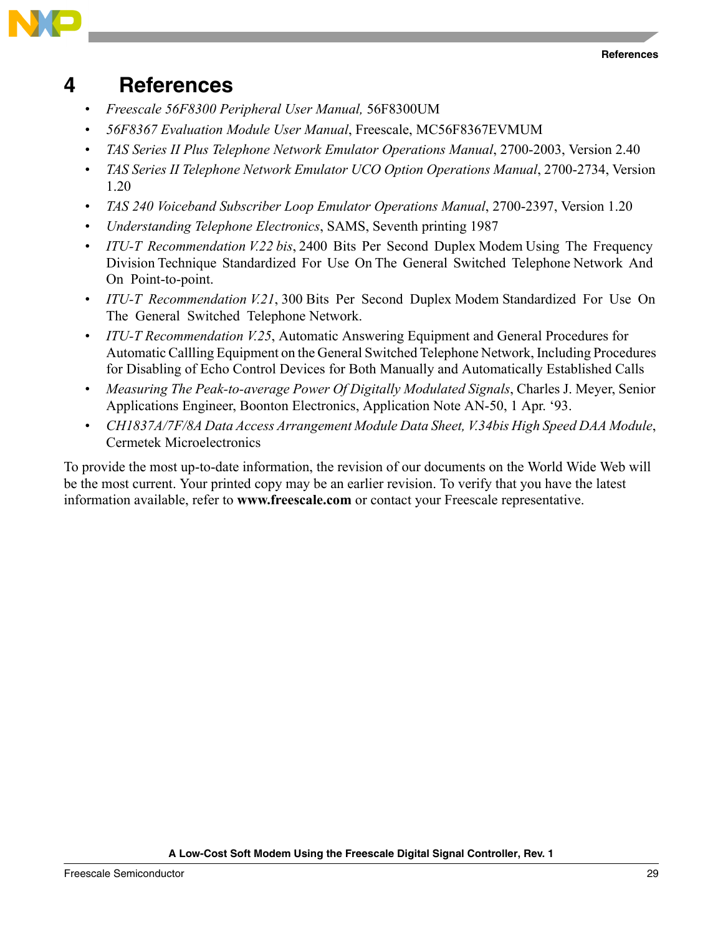

## <span id="page-28-0"></span>**4 References**

- *Freescale 56F8300 Peripheral User Manual,* 56F8300UM
- *56F8367 Evaluation Module User Manual*, Freescale, MC56F8367EVMUM
- *TAS Series II Plus Telephone Network Emulator Operations Manual*, 2700-2003, Version 2.40
- *TAS Series II Telephone Network Emulator UCO Option Operations Manual*, 2700-2734, Version 1.20
- *TAS 240 Voiceband Subscriber Loop Emulator Operations Manual*, 2700-2397, Version 1.20
- *Understanding Telephone Electronics*, SAMS, Seventh printing 1987
- *ITU-T Recommendation V.22 bis*, 2400 Bits Per Second Duplex Modem Using The Frequency Division Technique Standardized For Use On The General Switched Telephone Network And On Point-to-point.
- *ITU-T Recommendation V.21*, 300 Bits Per Second Duplex Modem Standardized For Use On The General Switched Telephone Network.
- *ITU-T Recommendation V.25*, Automatic Answering Equipment and General Procedures for Automatic Callling Equipment on the General Switched Telephone Network, Including Procedures for Disabling of Echo Control Devices for Both Manually and Automatically Established Calls
- *Measuring The Peak-to-average Power Of Digitally Modulated Signals*, Charles J. Meyer, Senior Applications Engineer, Boonton Electronics, Application Note AN-50, 1 Apr. '93.
- *CH1837A/7F/8A Data Access Arrangement Module Data Sheet, V.34bis High Speed DAA Module*, Cermetek Microelectronics

To provide the most up-to-date information, the revision of our documents on the World Wide Web will be the most current. Your printed copy may be an earlier revision. To verify that you have the latest information available, refer to **www.freescale.com** or contact your Freescale representative.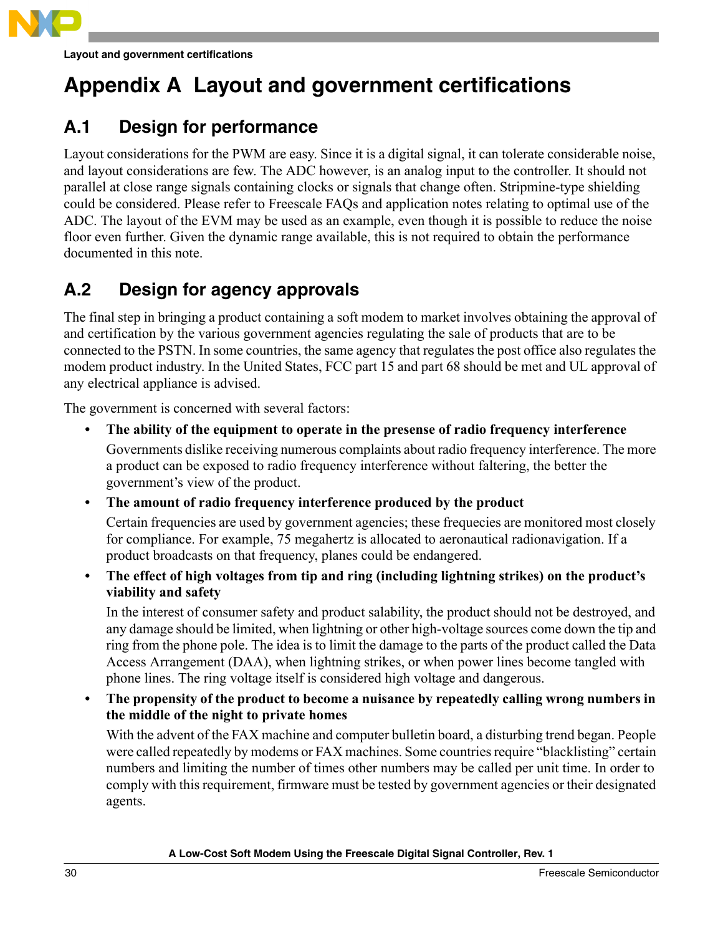

## <span id="page-29-0"></span>**Appendix A Layout and government certifications**

## <span id="page-29-1"></span>**A.1 Design for performance**

Layout considerations for the PWM are easy. Since it is a digital signal, it can tolerate considerable noise, and layout considerations are few. The ADC however, is an analog input to the controller. It should not parallel at close range signals containing clocks or signals that change often. Stripmine-type shielding could be considered. Please refer to Freescale FAQs and application notes relating to optimal use of the ADC. The layout of the EVM may be used as an example, even though it is possible to reduce the noise floor even further. Given the dynamic range available, this is not required to obtain the performance documented in this note.

## <span id="page-29-2"></span>**A.2 Design for agency approvals**

The final step in bringing a product containing a soft modem to market involves obtaining the approval of and certification by the various government agencies regulating the sale of products that are to be connected to the PSTN. In some countries, the same agency that regulates the post office also regulates the modem product industry. In the United States, FCC part 15 and part 68 should be met and UL approval of any electrical appliance is advised.

The government is concerned with several factors:

- **The ability of the equipment to operate in the presense of radio frequency interference** Governments dislike receiving numerous complaints about radio frequency interference. The more a product can be exposed to radio frequency interference without faltering, the better the government's view of the product.
- **The amount of radio frequency interference produced by the product**

Certain frequencies are used by government agencies; these frequecies are monitored most closely for compliance. For example, 75 megahertz is allocated to aeronautical radionavigation. If a product broadcasts on that frequency, planes could be endangered.

**• The effect of high voltages from tip and ring (including lightning strikes) on the product's viability and safety**

In the interest of consumer safety and product salability, the product should not be destroyed, and any damage should be limited, when lightning or other high-voltage sources come down the tip and ring from the phone pole. The idea is to limit the damage to the parts of the product called the Data Access Arrangement (DAA), when lightning strikes, or when power lines become tangled with phone lines. The ring voltage itself is considered high voltage and dangerous.

**• The propensity of the product to become a nuisance by repeatedly calling wrong numbers in the middle of the night to private homes**

With the advent of the FAX machine and computer bulletin board, a disturbing trend began. People were called repeatedly by modems or FAX machines. Some countries require "blacklisting" certain numbers and limiting the number of times other numbers may be called per unit time. In order to comply with this requirement, firmware must be tested by government agencies or their designated agents.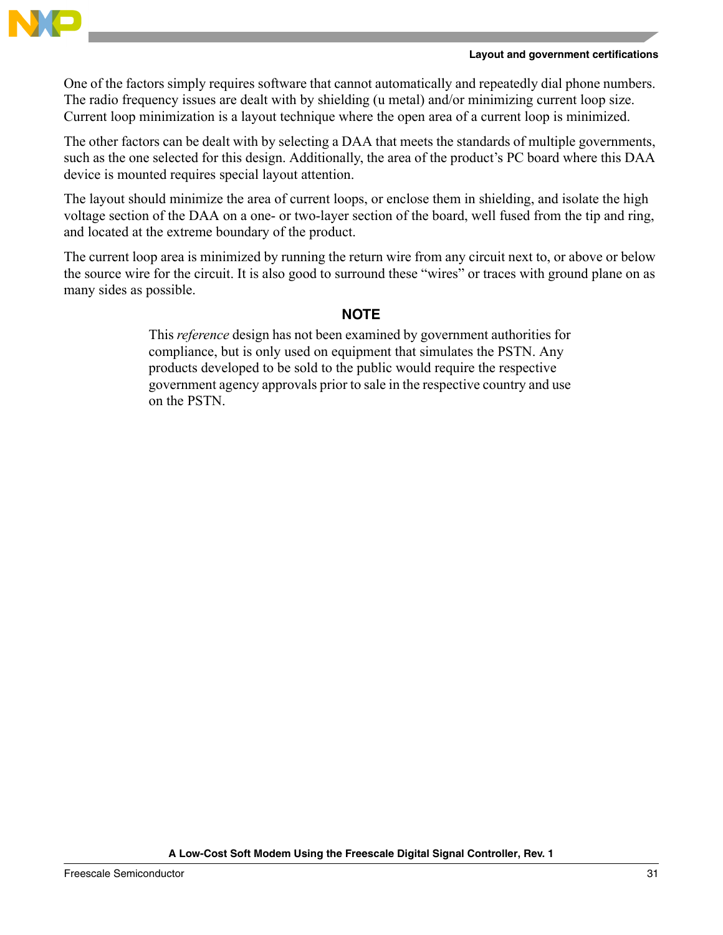

#### **Layout and government certifications**

One of the factors simply requires software that cannot automatically and repeatedly dial phone numbers. The radio frequency issues are dealt with by shielding (u metal) and/or minimizing current loop size. Current loop minimization is a layout technique where the open area of a current loop is minimized.

The other factors can be dealt with by selecting a DAA that meets the standards of multiple governments, such as the one selected for this design. Additionally, the area of the product's PC board where this DAA device is mounted requires special layout attention.

The layout should minimize the area of current loops, or enclose them in shielding, and isolate the high voltage section of the DAA on a one- or two-layer section of the board, well fused from the tip and ring, and located at the extreme boundary of the product.

The current loop area is minimized by running the return wire from any circuit next to, or above or below the source wire for the circuit. It is also good to surround these "wires" or traces with ground plane on as many sides as possible.

#### **NOTE**

This *reference* design has not been examined by government authorities for compliance, but is only used on equipment that simulates the PSTN. Any products developed to be sold to the public would require the respective government agency approvals prior to sale in the respective country and use on the PSTN.